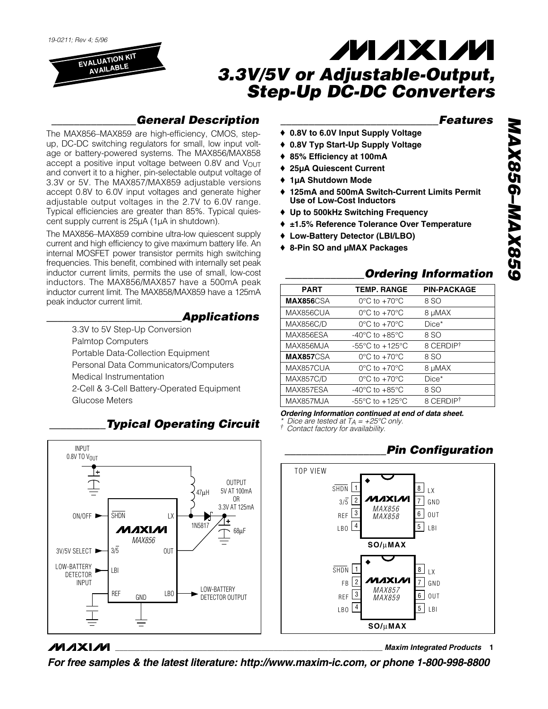*19-0211; Rev 4; 5/96*

**EVALUATION KIT AVAILABLE**

# **MAXM** *3.3V/5V or Adjustable-Output, Step-Up DC-DC Converters*

## *\_\_\_\_\_\_\_\_\_\_\_\_\_\_\_General Description*

The MAX856–MAX859 are high-efficiency, CMOS, stepup, DC-DC switching regulators for small, low input voltage or battery-powered systems. The MAX856/MAX858 accept a positive input voltage between  $0.8V$  and  $V_{\text{OUT}}$ and convert it to a higher, pin-selectable output voltage of 3.3V or 5V. The MAX857/MAX859 adjustable versions accept 0.8V to 6.0V input voltages and generate higher adjustable output voltages in the 2.7V to 6.0V range. Typical efficiencies are greater than 85%. Typical quiescent supply current is 25µA (1µA in shutdown).

The MAX856–MAX859 combine ultra-low quiescent supply current and high efficiency to give maximum battery life. An internal MOSFET power transistor permits high switching frequencies. This benefit, combined with internally set peak inductor current limits, permits the use of small, low-cost inductors. The MAX856/MAX857 have a 500mA peak inductor current limit. The MAX858/MAX859 have a 125mA peak inductor current limit.

### *\_\_\_\_\_\_\_\_\_\_\_\_\_\_\_\_\_\_\_\_\_\_\_\_Applications*

3.3V to 5V Step-Up Conversion Palmtop Computers Portable Data-Collection Equipment Personal Data Communicators/Computers Medical Instrumentation 2-Cell & 3-Cell Battery-Operated Equipment Glucose Meters



## *\_\_\_\_\_\_\_\_\_\_Typical Operating Circuit*

#### *\_\_\_\_\_\_\_\_\_\_\_\_\_\_\_\_\_\_\_\_\_\_\_\_\_\_\_\_Features*

- ♦ **0.8V to 6.0V Input Supply Voltage**
- ♦ **0.8V Typ Start-Up Supply Voltage**
- ♦ **85% Efficiency at 100mA**
- ♦ **25µA Quiescent Current**
- ♦ **1µA Shutdown Mode**
- ♦ **125mA and 500mA Switch-Current Limits Permit Use of Low-Cost Inductors**
- ♦ **Up to 500kHz Switching Frequency**
- ♦ **±1.5% Reference Tolerance Over Temperature**
- ♦ **Low-Battery Detector (LBI/LBO)**
- ♦ **8-Pin SO and µMAX Packages**

### *\_\_\_\_\_\_\_\_\_\_\_\_\_\_Ordering Information*

| <b>PART</b>      | <b>TEMP. RANGE</b>                  | <b>PIN-PACKAGE</b> |
|------------------|-------------------------------------|--------------------|
| MAX856CSA        | $0^{\circ}$ C to $+70^{\circ}$ C    | 8 SO               |
| MAX856CUA        | $0^{\circ}$ C to +70 $^{\circ}$ C   | 8 µMAX             |
| <b>MAX856C/D</b> | $0^{\circ}$ C to $+70^{\circ}$ C    | Dice*              |
| MAX856ESA        | $-40^{\circ}$ C to $+85^{\circ}$ C  | 8 SO               |
| MAX856MJA        | $-55^{\circ}$ C to $+125^{\circ}$ C | 8 CERDIPT          |
| <b>MAX857CSA</b> | $0^{\circ}$ C to $+70^{\circ}$ C    | 8 SO               |
| MAX857CUA        | $0^{\circ}$ C to $+70^{\circ}$ C    | 8 µMAX             |
| <b>MAX857C/D</b> | $0^{\circ}$ C to $+70^{\circ}$ C    | $Dice*$            |
| MAX857ESA        | $-40^{\circ}$ C to $+85^{\circ}$ C  | 8 SO               |
| MAX857MJA        | $-55^{\circ}$ C to $+125^{\circ}$ C | 8 CERDIPT          |
|                  |                                     |                    |

*Ordering Information continued at end of data sheet.*

### *\_\_\_\_\_\_\_\_\_\_\_\_\_\_\_\_\_\_Pin Configuration*



### **MAXM**

**\_\_\_\_\_\_\_\_\_\_\_\_\_\_\_\_\_\_\_\_\_\_\_\_\_\_\_\_\_\_\_\_\_\_\_\_\_\_\_\_\_\_\_\_\_\_\_\_\_\_\_\_\_\_\_\_\_\_\_\_\_\_\_\_** *Maxim Integrated Products* **1**

*For free samples & the latest literature: http://www.maxim-ic.com, or phone 1-800-998-8800*

*<sup>\*</sup> Dice are tested at TA = +25°C only. † Contact factory for availability.*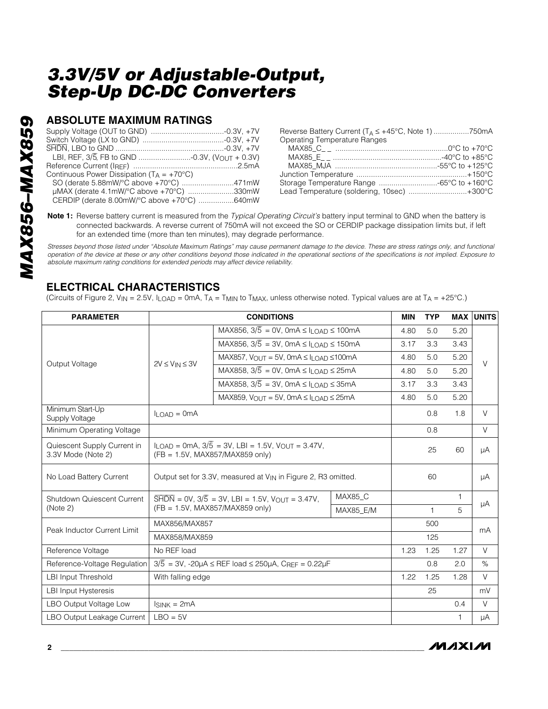### **ABSOLUTE MAXIMUM RATINGS**

| Continuous Power Dissipation ( $T_A = +70^{\circ}C$ ) |  |
|-------------------------------------------------------|--|
| SO (derate 5.88mW/°C above +70°C) 471mW               |  |
| µMAX (derate 4.1mW/°C above +70°C) 330mW              |  |
| CERDIP (derate 8.00mW/°C above +70°C) 640mW           |  |

| Reverse Battery Current ( $T_A \leq +45^{\circ}$ C, Note 1) 750mA |  |
|-------------------------------------------------------------------|--|
| <b>Operating Temperature Ranges</b>                               |  |
|                                                                   |  |
|                                                                   |  |
|                                                                   |  |
|                                                                   |  |
|                                                                   |  |
| Lead Temperature (soldering, 10sec) +300°C                        |  |

**Note 1:** Reverse battery current is measured from the *Typical Operating Circuit's* battery input terminal to GND when the battery is connected backwards. A reverse current of 750mA will not exceed the SO or CERDIP package dissipation limits but, if left for an extended time (more than ten minutes), may degrade performance.

*Stresses beyond those listed under "Absolute Maximum Ratings" may cause permanent damage to the device. These are stress ratings only, and functional operation of the device at these or any other conditions beyond those indicated in the operational sections of the specifications is not implied. Exposure to absolute maximum rating conditions for extended periods may affect device reliability.*

### **ELECTRICAL CHARACTERISTICS**

(Circuits of Figure 2, V<sub>IN</sub> = 2.5V, I<sub>LOAD</sub> = 0mA, T<sub>A</sub> = T<sub>MIN</sub> to T<sub>MAX</sub>, unless otherwise noted. Typical values are at T<sub>A</sub> = +25°C.)

| <b>PARAMETER</b>                                  |                                                                                                                                      | <b>CONDITIONS</b>                                                                                                       |           | MIN  | <b>TYP</b>   |              | <b>MAX UNITS</b> |
|---------------------------------------------------|--------------------------------------------------------------------------------------------------------------------------------------|-------------------------------------------------------------------------------------------------------------------------|-----------|------|--------------|--------------|------------------|
|                                                   |                                                                                                                                      | MAX856, $3/\overline{5} = 0V$ , 0mA $\leq$ $I_{\text{LOAD}} \leq 100$ mA                                                |           | 4.80 | 5.0          | 5.20         |                  |
|                                                   |                                                                                                                                      | MAX856, $3/\overline{5} = 3V$ , 0mA $\leq$ 11 $_{\text{OAD}} \leq 150$ mA                                               |           | 3.17 | 3.3          | 3.43         |                  |
|                                                   |                                                                                                                                      | MAX857, $V_{\text{OUT}} = 5V$ , 0mA $\leq$ I <sub>LOAD</sub> $\leq$ 100mA                                               |           | 4.80 | 5.0          | 5.20         |                  |
| Output Voltage                                    | $2V \leq V_{IN} \leq 3V$                                                                                                             | MAX858, $3/\overline{5} = 0V$ , 0mA $\leq$ I <sub>LOAD</sub> $\leq$ 25mA                                                |           | 4.80 | 5.0          | 5.20         | $\vee$           |
|                                                   |                                                                                                                                      | MAX858, $3/\overline{5} = 3V$ , 0mA $\leq$ 1 0AD $\leq$ 35mA                                                            |           | 3.17 | 3.3          | 3.43         |                  |
|                                                   |                                                                                                                                      | MAX859, $V_{\Omega U}T = 5V$ , $0mA \leq I_{\Omega A} \leq 25mA$                                                        |           | 4.80 | 5.0          | 5.20         |                  |
| Minimum Start-Up<br><b>Supply Voltage</b>         | $II$ $\cap$ AD = 0mA                                                                                                                 |                                                                                                                         |           |      | 0.8          | 1.8          | $\vee$           |
| Minimum Operating Voltage                         |                                                                                                                                      |                                                                                                                         |           |      | 0.8          |              | $\vee$           |
| Quiescent Supply Current in<br>3.3V Mode (Note 2) | $I_{\text{LOAD}} = 0 \text{mA}, 3/\overline{5} = 3V, \text{ LBI} = 1.5V, V_{\text{OUT}} = 3.47V,$<br>(FB = 1.5V, MAX857/MAX859 only) |                                                                                                                         |           |      | 25           | 60           | μA               |
| No Load Battery Current                           | Output set for 3.3V, measured at V <sub>IN</sub> in Figure 2, R3 omitted.                                                            |                                                                                                                         |           |      | 60           |              | μA               |
| Shutdown Quiescent Current                        |                                                                                                                                      | $\overline{\text{SHDN}} = \text{OV}, 3/\overline{5} = 3\text{V}, \text{LBI} = 1.5\text{V}, \text{VOUT} = 3.47\text{V},$ | MAX85 C   |      |              | 1            |                  |
| (Note 2)                                          | (FB = 1.5V, MAX857/MAX859 only)                                                                                                      |                                                                                                                         | MAX85 E/M |      | $\mathbf{1}$ | 5            | μA               |
|                                                   | MAX856/MAX857                                                                                                                        |                                                                                                                         |           |      | 500          |              |                  |
| Peak Inductor Current Limit                       | MAX858/MAX859                                                                                                                        |                                                                                                                         |           |      | 125          |              | mA               |
| Reference Voltage                                 | No REF load                                                                                                                          |                                                                                                                         |           | 1.23 | 1.25         | 1.27         | $\vee$           |
| Reference-Voltage Regulation                      | $3/5$ = 3V, -20µA $\leq$ REF load $\leq$ 250µA, C <sub>REF</sub> = 0.22µF                                                            |                                                                                                                         |           |      | 0.8          | 2.0          | $\%$             |
| <b>LBI Input Threshold</b>                        | With falling edge                                                                                                                    |                                                                                                                         |           | 1.22 | 1.25         | 1.28         | $\vee$           |
| <b>LBI Input Hysteresis</b>                       |                                                                                                                                      |                                                                                                                         |           |      | 25           |              | mV               |
| LBO Output Voltage Low                            | $lsink = 2mA$                                                                                                                        |                                                                                                                         |           |      |              | 0.4          | $\vee$           |
| LBO Output Leakage Current                        | $LBO = 5V$                                                                                                                           |                                                                                                                         |           |      |              | $\mathbf{1}$ | μA               |

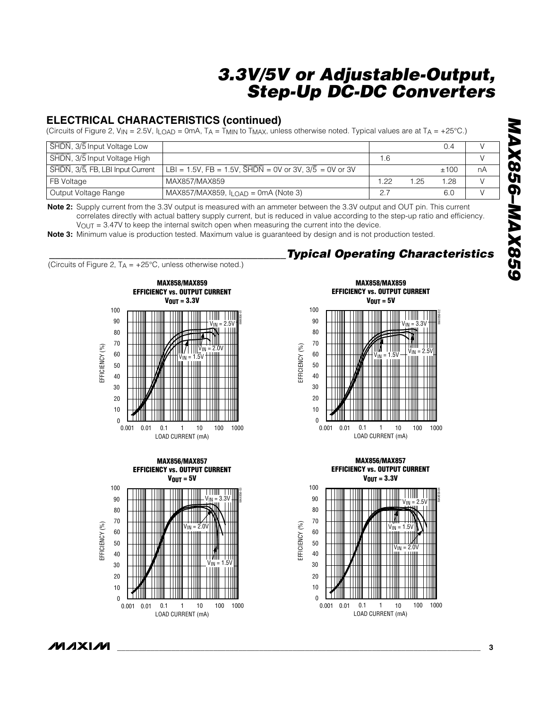### **ELECTRICAL CHARACTERISTICS (continued)**

(Circuits of Figure 2, V<sub>IN</sub> = 2.5V, ILOAD = 0mA, TA = T<sub>MIN</sub> to T<sub>MAX</sub>, unless otherwise noted. Typical values are at T<sub>A</sub> = +25°C.)

| SHDN, 3/5 Input Voltage Low      |                                                                         |      |    | 0.4  |    |
|----------------------------------|-------------------------------------------------------------------------|------|----|------|----|
| SHDN, 3/5 Input Voltage High     |                                                                         | .6   |    |      |    |
| SHDN, 3/5, FB, LBI Input Current | $ $ LBI = 1.5V, FB = 1.5V, $\overline{SHDN}$ = 0V or 3V, 3/5 = 0V or 3V |      |    | ±100 | nA |
| FB Voltage                       | MAX857/MAX859                                                           | 1.22 | 25 | 1.28 |    |
| Output Voltage Range             | MAX857/MAX859, $I_{\text{LOAD}}$ = 0mA (Note 3)                         |      |    | 6.0  |    |

**Note 2:** Supply current from the 3.3V output is measured with an ammeter between the 3.3V output and OUT pin. This current correlates directly with actual battery supply current, but is reduced in value according to the step-up ratio and efficiency.  $V<sub>OUT</sub> = 3.47V$  to keep the internal switch open when measuring the current into the device.

**Note 3:** Minimum value is production tested. Maximum value is guaranteed by design and is not production tested.

(Circuits of Figure 2,  $TA = +25^{\circ}C$ , unless otherwise noted.)







**MAX858/MAX859**

*\_\_\_\_\_\_\_\_\_\_\_\_\_\_\_\_\_\_\_\_\_\_\_\_\_\_\_\_\_\_\_\_\_\_\_\_\_\_\_\_\_\_Typical Operating Characteristics*







ノハノメレル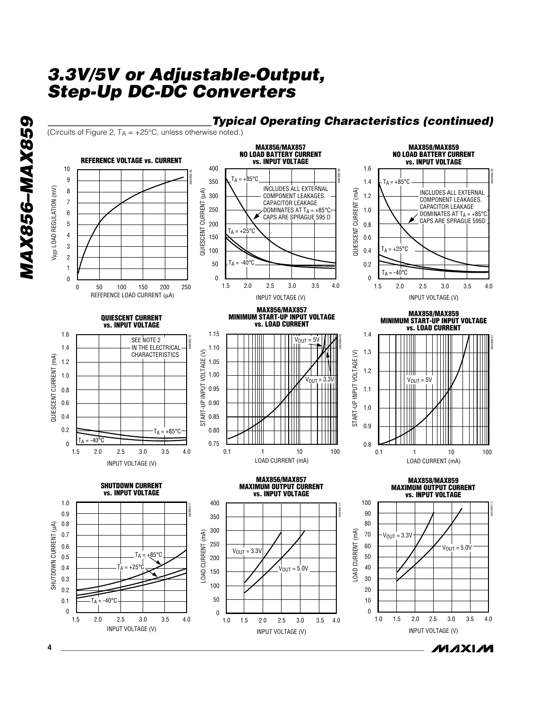



INPUT VOLTAGE (V)

INPUT VOLTAGE (V)

/VI/IXI/VI

*MAX856–MAX859* MAX856-MAX859

**4 \_\_\_\_\_\_\_\_\_\_\_\_\_\_\_\_\_\_\_\_\_\_\_\_\_\_\_\_\_\_\_\_\_\_\_\_\_\_\_\_\_\_\_\_\_\_\_\_\_\_\_\_\_\_\_\_\_\_\_\_\_\_\_\_\_\_\_\_\_\_\_\_\_\_\_\_\_\_\_\_\_\_\_\_\_\_\_**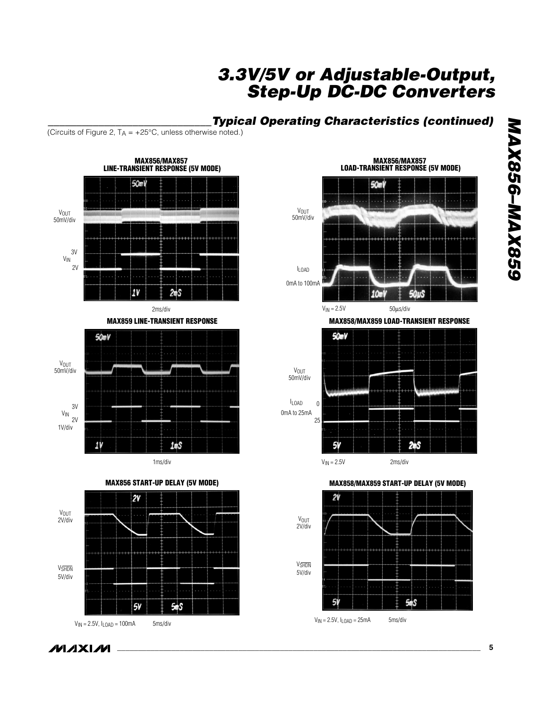### *\_\_\_\_\_\_\_\_\_\_\_\_\_\_\_\_\_\_\_\_\_\_\_\_\_\_\_\_\_Typical Operating Characteristics (continued)*

(Circuits of Figure 2,  $T_A = +25^{\circ}C$ , unless otherwise noted.)



**MAX856-MAX859** *MAX856–MAX859*

**MAXIM**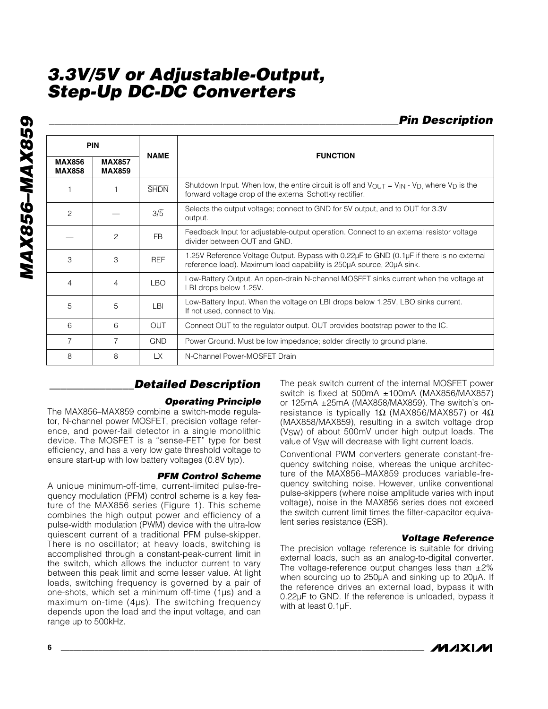*MAX856–MAX859* **MAX856-MAX859** 

| <b>Pin Description</b> |
|------------------------|
|                        |

| <b>PIN</b>                     |                                | <b>NAME</b>      | <b>FUNCTION</b>                                                                                                                                                                                   |  |
|--------------------------------|--------------------------------|------------------|---------------------------------------------------------------------------------------------------------------------------------------------------------------------------------------------------|--|
| <b>MAX856</b><br><b>MAX858</b> | <b>MAX857</b><br><b>MAX859</b> |                  |                                                                                                                                                                                                   |  |
|                                |                                | <b>SHDN</b>      | Shutdown Input. When low, the entire circuit is off and $V_{\text{OUT}} = V_{\text{IN}} - V_{\text{D}}$ , where $V_{\text{D}}$ is the<br>forward voltage drop of the external Schottky rectifier. |  |
| $\overline{c}$                 |                                | $3/\overline{5}$ | Selects the output voltage; connect to GND for 5V output, and to OUT for 3.3V<br>output.                                                                                                          |  |
|                                | $\mathcal{P}$                  | <b>FB</b>        | Feedback Input for adjustable-output operation. Connect to an external resistor voltage<br>divider between OUT and GND.                                                                           |  |
| 3                              | 3                              | <b>REF</b>       | 1.25V Reference Voltage Output. Bypass with 0.22µF to GND (0.1µF if there is no external<br>reference load). Maximum load capability is 250µA source, 20µA sink.                                  |  |
| 4                              | $\overline{4}$                 | LBO              | Low-Battery Output. An open-drain N-channel MOSFET sinks current when the voltage at<br>LBI drops below 1.25V.                                                                                    |  |
| 5                              | 5                              | LBI              | Low-Battery Input. When the voltage on LBI drops below 1.25V, LBO sinks current.<br>If not used, connect to V <sub>IN</sub> .                                                                     |  |
| 6                              | 6                              | <b>OUT</b>       | Connect OUT to the regulator output. OUT provides bootstrap power to the IC.                                                                                                                      |  |
| $\overline{7}$                 | $\overline{7}$                 | <b>GND</b>       | Power Ground. Must be low impedance; solder directly to ground plane.                                                                                                                             |  |
| 8                              | 8                              | LX               | N-Channel Power-MOSFET Drain                                                                                                                                                                      |  |

### *\_\_\_\_\_\_\_\_\_\_\_\_\_\_\_Detailed Description*

#### *Operating Principle*

The MAX856–MAX859 combine a switch-mode regulator, N-channel power MOSFET, precision voltage reference, and power-fail detector in a single monolithic device. The MOSFET is a "sense-FET" type for best efficiency, and has a very low gate threshold voltage to ensure start-up with low battery voltages (0.8V typ).

#### *PFM Control Scheme*

A unique minimum-off-time, current-limited pulse-frequency modulation (PFM) control scheme is a key feature of the MAX856 series (Figure 1). This scheme combines the high output power and efficiency of a pulse-width modulation (PWM) device with the ultra-low quiescent current of a traditional PFM pulse-skipper. There is no oscillator; at heavy loads, switching is accomplished through a constant-peak-current limit in the switch, which allows the inductor current to vary between this peak limit and some lesser value. At light loads, switching frequency is governed by a pair of one-shots, which set a minimum off-time (1µs) and a maximum on-time (4µs). The switching frequency depends upon the load and the input voltage, and can range up to 500kHz.

The peak switch current of the internal MOSFET power switch is fixed at 500mA ±100mA (MAX856/MAX857) or 125mA ±25mA (MAX858/MAX859). The switch's onresistance is typically 1 $\Omega$  (MAX856/MAX857) or 4 $\Omega$ (MAX858/MAX859), resulting in a switch voltage drop (VSW) of about 500mV under high output loads. The value of V<sub>SW</sub> will decrease with light current loads.

Conventional PWM converters generate constant-frequency switching noise, whereas the unique architecture of the MAX856–MAX859 produces variable-frequency switching noise. However, unlike conventional pulse-skippers (where noise amplitude varies with input voltage), noise in the MAX856 series does not exceed the switch current limit times the filter-capacitor equivalent series resistance (ESR).

#### *Voltage Reference*

The precision voltage reference is suitable for driving external loads, such as an analog-to-digital converter. The voltage-reference output changes less than  $\pm 2\%$ when sourcing up to 250µA and sinking up to 20µA. If the reference drives an external load, bypass it with 0.22µF to GND. If the reference is unloaded, bypass it with at least 0.1µF.

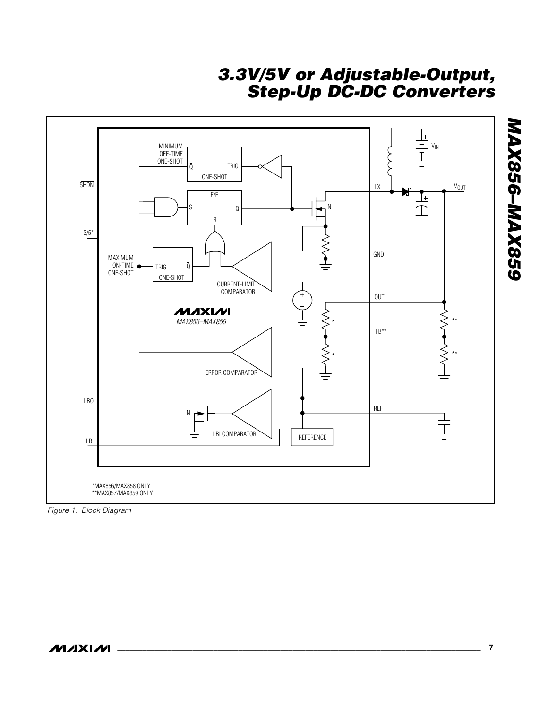

*Figure 1. Block Diagram*

*MAX856–MAX859*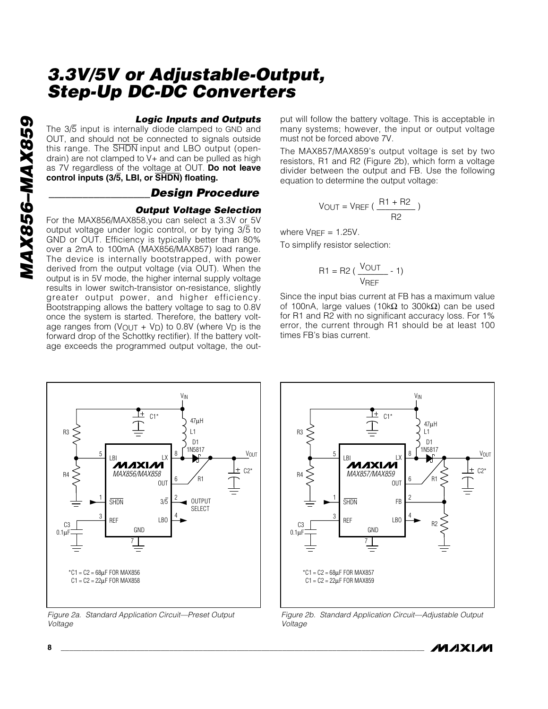#### *Logic Inputs and Outputs*

The 3/5 input is internally diode clamped to GND and OUT, and should not be connected to signals outside this range. The SHDN input and LBO output (opendrain) are not clamped to V+ and can be pulled as high as 7V regardless of the voltage at OUT. **Do not leave control inputs (3/5, LBI, or SHDN) floating.**

#### *\_\_\_\_\_\_\_\_\_\_\_\_\_\_\_\_\_\_Design Procedure*

#### *Output Voltage Selection*

For the MAX856/MAX858,you can select a 3.3V or 5V output voltage under logic control, or by tying 3/5 to<br>output voltage under logic control, or by tying 3/5 to GND or OUT. Efficiency is typically better than 80% over a 2mA to 100mA (MAX856/MAX857) load range. The device is internally bootstrapped, with power derived from the output voltage (via OUT). When the output is in 5V mode, the higher internal supply voltage results in lower switch-transistor on-resistance, slightly greater output power, and higher efficiency. Bootstrapping allows the battery voltage to sag to 0.8V once the system is started. Therefore, the battery voltage ranges from  $(V_{\text{OUT}} + V_{\text{D}})$  to 0.8V (where  $V_{\text{D}}$  is the forward drop of the Schottky rectifier). If the battery voltage exceeds the programmed output voltage, the output will follow the battery voltage. This is acceptable in many systems; however, the input or output voltage must not be forced above 7V.

The MAX857/MAX859's output voltage is set by two resistors, R1 and R2 (Figure 2b), which form a voltage divider between the output and FB. Use the following equation to determine the output voltage:

$$
V_{OUT} = V_{REF} \left( \frac{R1 + R2}{R2} \right)
$$

where  $V$ RFF = 1.25V.

To simplify resistor selection:

$$
R1 = R2 \left( \frac{V_{OUT}}{V_{REF}} - 1 \right)
$$

Since the input bias current at FB has a maximum value of 100nA, large values (10kΩ to 300kΩ) can be used for R1 and R2 with no significant accuracy loss. For 1% error, the current through R1 should be at least 100 times FB's bias current.



*Figure 2a. Standard Application Circuit—Preset Output Voltage*



*Figure 2b. Standard Application Circuit—Adjustable Output Voltage*

*IVI AXI IVI* 

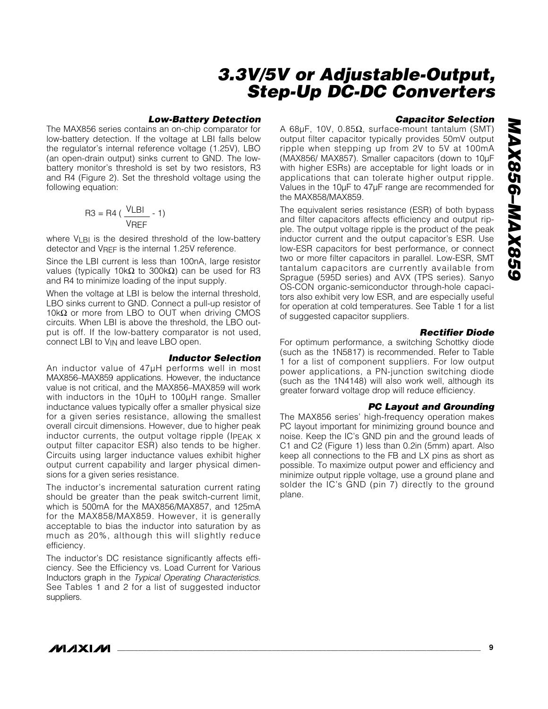#### *Low-Battery Detection*

The MAX856 series contains an on-chip comparator for low-battery detection. If the voltage at LBI falls below the regulator's internal reference voltage (1.25V), LBO (an open-drain output) sinks current to GND. The lowbattery monitor's threshold is set by two resistors, R3 and R4 (Figure 2). Set the threshold voltage using the following equation:

$$
R3 = R4 \left(\frac{VLBI}{VREF} - 1\right)
$$

where VLBI is the desired threshold of the low-battery detector and VREF is the internal 1.25V reference.

Since the LBI current is less than 100nA, large resistor values (typically 10kΩ to 300kΩ) can be used for R3 and R4 to minimize loading of the input supply.

When the voltage at LBI is below the internal threshold, LBO sinks current to GND. Connect a pull-up resistor of 10kΩ or more from LBO to OUT when driving CMOS circuits. When LBI is above the threshold, the LBO output is off. If the low-battery comparator is not used, connect LBI to VIN and leave LBO open.

#### *Inductor Selection*

An inductor value of 47µH performs well in most MAX856–MAX859 applications. However, the inductance value is not critical, and the MAX856–MAX859 will work with inductors in the 10µH to 100µH range. Smaller inductance values typically offer a smaller physical size for a given series resistance, allowing the smallest overall circuit dimensions. However, due to higher peak inductor currents, the output voltage ripple (IPEAK x output filter capacitor ESR) also tends to be higher. Circuits using larger inductance values exhibit higher output current capability and larger physical dimensions for a given series resistance.

The inductor's incremental saturation current rating should be greater than the peak switch-current limit, which is 500mA for the MAX856/MAX857, and 125mA for the MAX858/MAX859. However, it is generally acceptable to bias the inductor into saturation by as much as 20%, although this will slightly reduce efficiency.

The inductor's DC resistance significantly affects efficiency. See the Efficiency vs. Load Current for Various Inductors graph in the *Typical Operating Characteristics*. See Tables 1 and 2 for a list of suggested inductor suppliers.

#### *Capacitor Selection*

A 68µF, 10V, 0.85Ω, surface-mount tantalum (SMT) output filter capacitor typically provides 50mV output ripple when stepping up from 2V to 5V at 100mA (MAX856/ MAX857). Smaller capacitors (down to 10µF with higher ESRs) are acceptable for light loads or in applications that can tolerate higher output ripple. Values in the 10µF to 47µF range are recommended for the MAX858/MAX859.

The equivalent series resistance (ESR) of both bypass and filter capacitors affects efficiency and output ripple. The output voltage ripple is the product of the peak inductor current and the output capacitor's ESR. Use low-ESR capacitors for best performance, or connect two or more filter capacitors in parallel. Low-ESR, SMT tantalum capacitors are currently available from Sprague (595D series) and AVX (TPS series). Sanyo OS-CON organic-semiconductor through-hole capacitors also exhibit very low ESR, and are especially useful for operation at cold temperatures. See Table 1 for a list of suggested capacitor suppliers.

#### *Rectifier Diode*

For optimum performance, a switching Schottky diode (such as the 1N5817) is recommended. Refer to Table 1 for a list of component suppliers. For low output power applications, a PN-junction switching diode (such as the 1N4148) will also work well, although its greater forward voltage drop will reduce efficiency.

#### *PC Layout and Grounding*

The MAX856 series' high-frequency operation makes PC layout important for minimizing ground bounce and noise. Keep the IC's GND pin and the ground leads of C1 and C2 (Figure 1) less than 0.2in (5mm) apart. Also keep all connections to the FB and LX pins as short as possible. To maximize output power and efficiency and minimize output ripple voltage, use a ground plane and solder the IC's GND (pin 7) directly to the ground plane.

*/VI/IXI/VI*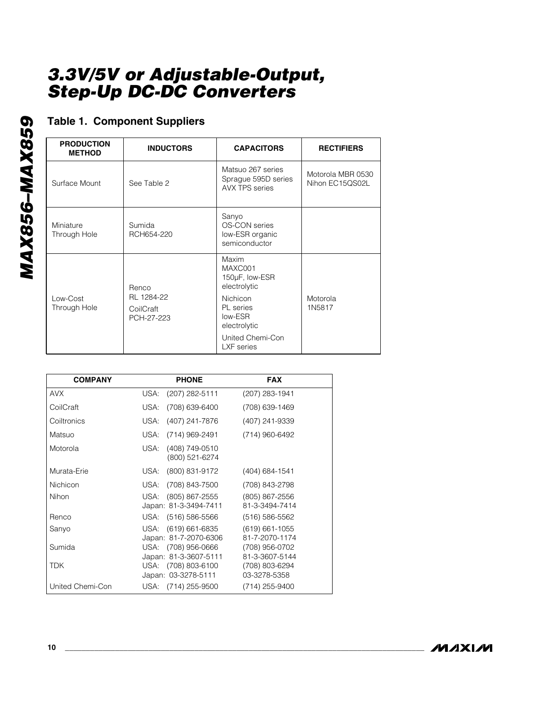## **Table 1. Component Suppliers**

| <b>PRODUCTION</b><br><b>METHOD</b> | <b>INDUCTORS</b>                      | <b>CAPACITORS</b>                                                 | <b>RECTIFIERS</b>                    |
|------------------------------------|---------------------------------------|-------------------------------------------------------------------|--------------------------------------|
| Surface Mount                      | See Table 2                           | Matsuo 267 series<br>Sprague 595D series<br><b>AVX TPS series</b> | Motorola MBR 0530<br>Nihon EC15QS02L |
| Miniature<br>Through Hole          | Sumida<br>RCH654-220                  | Sanyo<br>OS-CON series<br>low-ESR organic<br>semiconductor        |                                      |
|                                    | <b>Renco</b>                          | Maxim<br>MAXC001<br>150µF, low-ESR<br>electrolytic                |                                      |
| Low-Cost<br>Through Hole           | RL 1284-22<br>CoilCraft<br>PCH-27-223 | <b>Nichicon</b><br>PL series<br>low-ESR<br>electrolytic           | Motorola<br>1N5817                   |
|                                    |                                       | United Chemi-Con<br>LXF series                                    |                                      |

| <b>COMPANY</b>   | <b>PHONE</b>                                 | <b>FAX</b>                           |
|------------------|----------------------------------------------|--------------------------------------|
| <b>AVX</b>       | (207) 282-5111<br>USA:                       | (207) 283-1941                       |
| CoilCraft        | (708) 639-6400<br>USA:                       | (708) 639-1469                       |
| Coiltronics      | (407) 241-7876<br>USA:                       | (407) 241-9339                       |
| Matsuo           | USA:<br>(714) 969-2491                       | (714) 960-6492                       |
| Motorola         | (408) 749-0510<br>USA:<br>(800) 521-6274     |                                      |
| Murata-Erie      | (800) 831-9172<br>USA:                       | $(404)$ 684-1541                     |
| <b>Nichicon</b>  | (708) 843-7500<br>USA:                       | (708) 843-2798                       |
| Nihon            | USA: (805) 867-2555<br>Japan: 81-3-3494-7411 | (805) 867-2556<br>81-3-3494-7414     |
| Renco            | USA: (516) 586-5566                          | $(516) 586 - 5562$                   |
| Sanyo            | USA: (619) 661-6835<br>Japan: 81-7-2070-6306 | $(619) 661 - 1055$<br>81-7-2070-1174 |
| Sumida           | USA: (708) 956-0666<br>Japan: 81-3-3607-5111 | (708) 956-0702<br>81-3-3607-5144     |
| TDK              | USA: (708) 803-6100<br>Japan: 03-3278-5111   | (708) 803-6294<br>03-3278-5358       |
| United Chemi-Con | USA: (714) 255-9500                          | (714) 255-9400                       |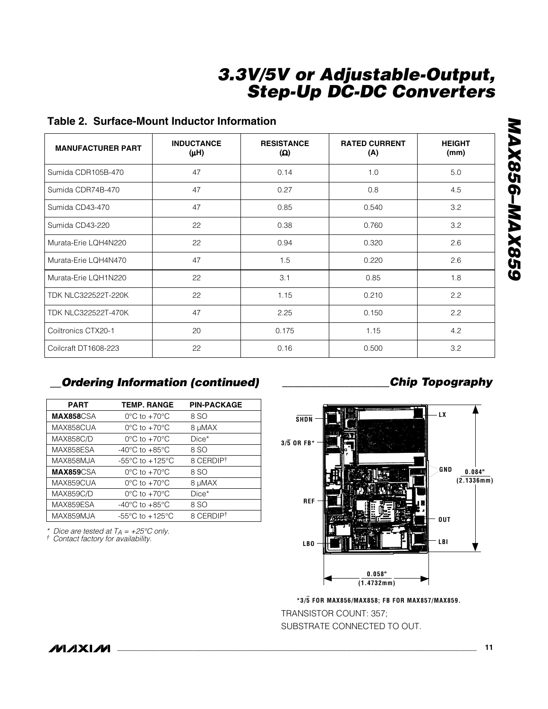### **Table 2. Surface-Mount Inductor Information**

| <b>MANUFACTURER PART</b>   | <b>INDUCTANCE</b><br>(µH) | <b>RESISTANCE</b><br>(Ω) | <b>RATED CURRENT</b><br>(A) | <b>HEIGHT</b><br>(mm) |
|----------------------------|---------------------------|--------------------------|-----------------------------|-----------------------|
| Sumida CDR105B-470         | 47                        | 0.14                     | 1.0                         | 5.0                   |
| Sumida CDR74B-470          | 47                        | 0.27                     | 0.8                         | 4.5                   |
| Sumida CD43-470            | 47                        | 0.85                     | 0.540                       | 3.2                   |
| Sumida CD43-220            | 22                        | 0.38                     | 0.760                       | 3.2                   |
| Murata-Erie LQH4N220       | 22                        | 0.94                     | 0.320                       | 2.6                   |
| Murata-Erie LQH4N470       | 47                        | 1.5                      | 0.220                       | 2.6                   |
| Murata-Erie LQH1N220       | 22                        | 3.1                      | 0.85                        | 1.8                   |
| <b>TDK NLC322522T-220K</b> | 22                        | 1.15                     | 0.210                       | 2.2                   |
| <b>TDK NLC322522T-470K</b> | 47                        | 2.25                     | 0.150                       | 2.2                   |
| Coiltronics CTX20-1        | 20                        | 0.175                    | 1.15                        | 4.2                   |
| Coilcraft DT1608-223       | 22                        | 0.16                     | 0.500                       | 3.2                   |

### *\_\_Ordering Information (continued) \_\_\_\_\_\_\_\_\_\_\_\_\_\_\_\_\_\_\_Chip Topography*

| <b>PART</b>       | <b>TEMP. RANGE</b>                  | <b>PIN-PACKAGE</b> |
|-------------------|-------------------------------------|--------------------|
| <b>MAX858</b> CSA | $0^{\circ}$ C to $+70^{\circ}$ C    | 8 SO               |
| MAX858CUA         | $0^{\circ}$ C to $+70^{\circ}$ C    | 8 µMAX             |
| <b>MAX858C/D</b>  | $0^{\circ}$ C to $+70^{\circ}$ C    | Dice*              |
| MAX858ESA         | $-40^{\circ}$ C to $+85^{\circ}$ C  | 8 SO               |
| MAX858MJA         | $-55^{\circ}$ C to $+125^{\circ}$ C | 8 CERDIPT          |
| <b>MAX859</b> CSA | $0^{\circ}$ C to $+70^{\circ}$ C    | 8 SO               |
| MAX859CUA         | $0^{\circ}$ C to +70 $^{\circ}$ C   | 8 µMAX             |
| <b>MAX859C/D</b>  | $0^{\circ}$ C to $+70^{\circ}$ C    | Dice*              |
| MAX859ESA         | $-40^{\circ}$ C to $+85^{\circ}$ C  | 8 SO               |
| MAX859MJA         | $-55^{\circ}$ C to $+125^{\circ}$ C | 8 CERDIPT          |

*\* Dice are tested at TA = +25°C only. † Contact factory for availability.*



TRANSISTOR COUNT: 357; SUBSTRATE CONNECTED TO OUT. **\*3/5 FOR MAX856/MAX858; FB FOR MAX857/MAX859.**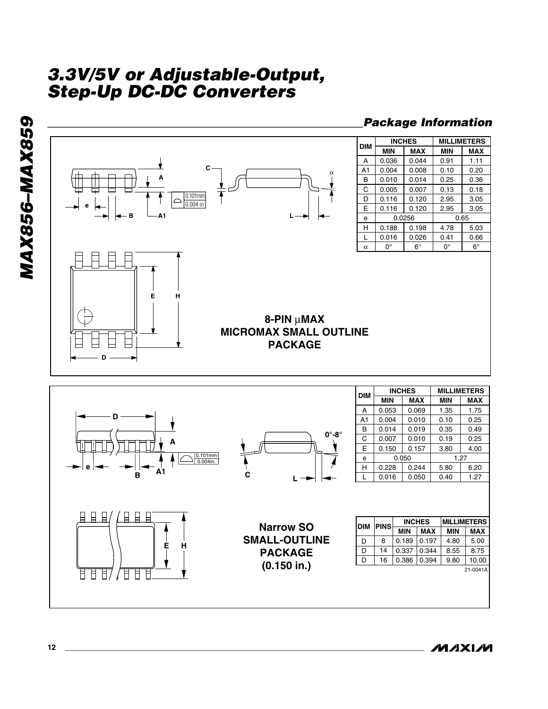